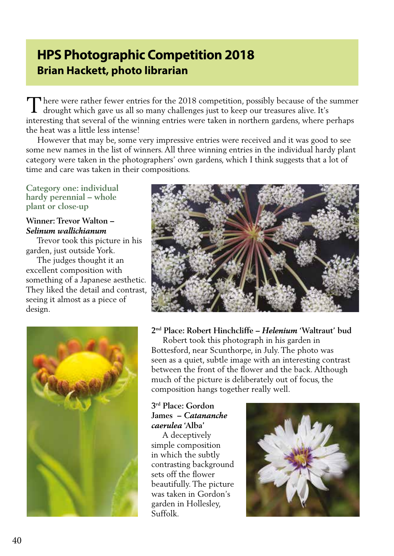# **HPS Photographic Competition 2018 Brian Hackett, photo librarian**

There were rather fewer entries for the 2018 competition, possibly because of the summer drought which gave us all so many challenges just to keep our treasures alive. It's drought which gave us all so many challenges just to keep our treasures alive. It's interesting that several of the winning entries were taken in northern gardens, where perhaps the heat was a little less intense!

 However that may be, some very impressive entries were received and it was good to see some new names in the list of winners. All three winning entries in the individual hardy plant category were taken in the photographers' own gardens, which I think suggests that a lot of time and care was taken in their compositions.

**Category one: individual hardy perennial – whole plant or close-up**

# **Winner: Trevor Walton –**  *Selinum wallichianum*

 Trevor took this picture in his garden, just outside York.

 The judges thought it an excellent composition with something of a Japanese aesthetic. They liked the detail and contrast, seeing it almost as a piece of design.





# **2nd Place: Robert Hinchcliffe –** *Helenium* **'Waltraut' bud**

 Robert took this photograph in his garden in Bottesford, near Scunthorpe, in July. The photo was seen as a quiet, subtle image with an interesting contrast between the front of the flower and the back. Although much of the picture is deliberately out of focus, the composition hangs together really well.

# **3rd Place: Gordon James –** *Catananche caerulea* **'Alba'**

 A deceptively simple composition in which the subtly contrasting background sets off the flower beautifully. The picture was taken in Gordon's garden in Hollesley, Suffolk.

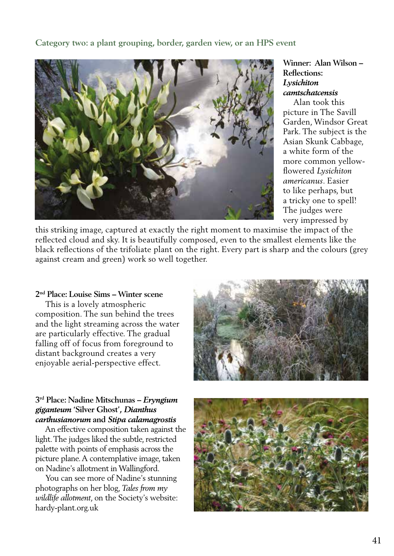# **Category two: a plant grouping, border, garden view, or an HPS event**



# **Winner: Alan Wilson – Reflections:**  *Lysichiton camtschatcensis*

 Alan took this picture in The Savill Garden, Windsor Great Park. The subject is the Asian Skunk Cabbage, a white form of the more common yellowflowered *Lysichiton americanus*. Easier to like perhaps, but a tricky one to spell! The judges were very impressed by

this striking image, captured at exactly the right moment to maximise the impact of the reflected cloud and sky. It is beautifully composed, even to the smallest elements like the black reflections of the trifoliate plant on the right. Every part is sharp and the colours (grey against cream and green) work so well together.

#### **2nd Place: Louise Sims – Winter scene**

 This is a lovely atmospheric composition. The sun behind the trees and the light streaming across the water are particularly effective. The gradual falling off of focus from foreground to distant background creates a very enjoyable aerial-perspective effect.



## **3rd Place: Nadine Mitschunas –** *Eryngium giganteum* **'Silver Ghost',** *Dianthus carthusianorum* **and** *Stipa calamagrostis*

 An effective composition taken against the light. The judges liked the subtle, restricted palette with points of emphasis across the picture plane. A contemplative image, taken on Nadine's allotment in Wallingford.

 You can see more of Nadine's stunning photographs on her blog, *Tales from my wildlife allotment*, on the Society's website: hardy-plant.org.uk